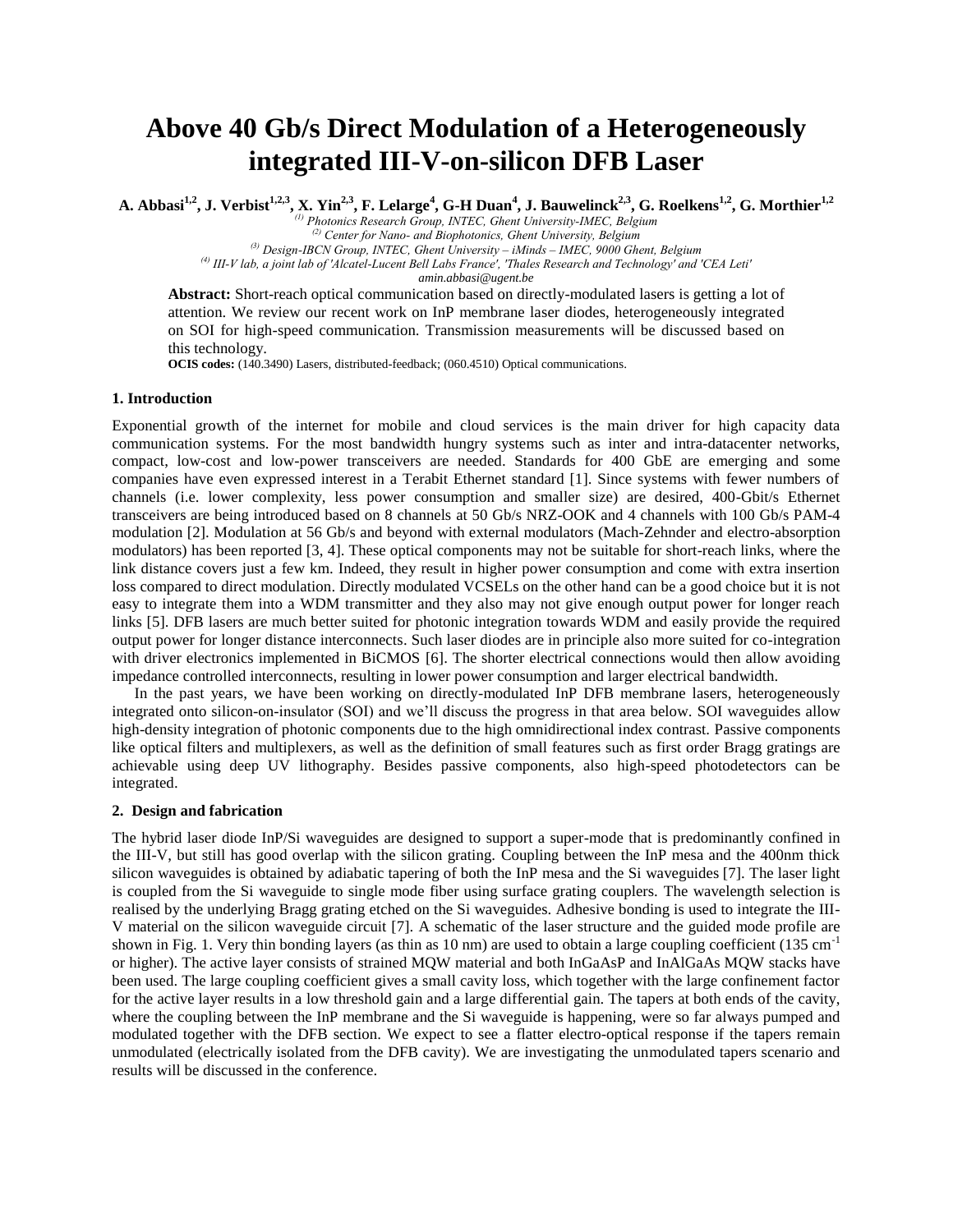# **Above 40 Gb/s Direct Modulation of a Heterogeneously integrated III-V-on-silicon DFB Laser**

A. Abbasi<sup>1,2</sup>, J. Verbist<sup>1,2,3</sup>, X. Yin<sup>2,3</sup>, F. Lelarge<sup>4</sup>, G-H Duan<sup>4</sup>, J. Bauwelinck<sup>2,3</sup>, G. Roelkens<sup>1,2</sup>, G. Morthier<sup>1,2</sup>

*(1) Photonics Research Group, INTEC, Ghent University-IMEC, Belgium (2) Center for Nano- and Biophotonics, Ghent University, Belgium*

*(3) Design-IBCN Group, INTEC, Ghent University – iMinds – IMEC, 9000 Ghent, Belgium*

*(4) III-V lab, a joint lab of 'Alcatel-Lucent Bell Labs France', 'Thales Research and Technology' and 'CEA Leti'*

*amin.abbasi@ugent.be*

**Abstract:** Short-reach optical communication based on directly-modulated lasers is getting a lot of attention. We review our recent work on InP membrane laser diodes, heterogeneously integrated on SOI for high-speed communication. Transmission measurements will be discussed based on this technology.

**OCIS codes:** (140.3490) Lasers, distributed-feedback; (060.4510) Optical communications.

### **1. Introduction**

Exponential growth of the internet for mobile and cloud services is the main driver for high capacity data communication systems. For the most bandwidth hungry systems such as inter and intra-datacenter networks, compact, low-cost and low-power transceivers are needed. Standards for 400 GbE are emerging and some companies have even expressed interest in a Terabit Ethernet standard [1]. Since systems with fewer numbers of channels (i.e. lower complexity, less power consumption and smaller size) are desired, 400-Gbit/s Ethernet transceivers are being introduced based on 8 channels at 50 Gb/s NRZ-OOK and 4 channels with 100 Gb/s PAM-4 modulation [2]. Modulation at 56 Gb/s and beyond with external modulators (Mach-Zehnder and electro-absorption modulators) has been reported [3, 4]. These optical components may not be suitable for short-reach links, where the link distance covers just a few km. Indeed, they result in higher power consumption and come with extra insertion loss compared to direct modulation. Directly modulated VCSELs on the other hand can be a good choice but it is not easy to integrate them into a WDM transmitter and they also may not give enough output power for longer reach links [5]. DFB lasers are much better suited for photonic integration towards WDM and easily provide the required output power for longer distance interconnects. Such laser diodes are in principle also more suited for co-integration with driver electronics implemented in BiCMOS [6]. The shorter electrical connections would then allow avoiding impedance controlled interconnects, resulting in lower power consumption and larger electrical bandwidth.

In the past years, we have been working on directly-modulated InP DFB membrane lasers, heterogeneously integrated onto silicon-on-insulator (SOI) and we'll discuss the progress in that area below. SOI waveguides allow high-density integration of photonic components due to the high omnidirectional index contrast. Passive components like optical filters and multiplexers, as well as the definition of small features such as first order Bragg gratings are achievable using deep UV lithography. Besides passive components, also high-speed photodetectors can be integrated.

## **2. Design and fabrication**

The hybrid laser diode InP/Si waveguides are designed to support a super-mode that is predominantly confined in the III-V, but still has good overlap with the silicon grating. Coupling between the InP mesa and the 400nm thick silicon waveguides is obtained by adiabatic tapering of both the InP mesa and the Si waveguides [7]. The laser light is coupled from the Si waveguide to single mode fiber using surface grating couplers. The wavelength selection is realised by the underlying Bragg grating etched on the Si waveguides. Adhesive bonding is used to integrate the III-V material on the silicon waveguide circuit [7]. A schematic of the laser structure and the guided mode profile are shown in Fig. 1. Very thin bonding layers (as thin as 10 nm) are used to obtain a large coupling coefficient (135 cm<sup>-1</sup> or higher). The active layer consists of strained MQW material and both InGaAsP and InAlGaAs MQW stacks have been used. The large coupling coefficient gives a small cavity loss, which together with the large confinement factor for the active layer results in a low threshold gain and a large differential gain. The tapers at both ends of the cavity, where the coupling between the InP membrane and the Si waveguide is happening, were so far always pumped and modulated together with the DFB section. We expect to see a flatter electro-optical response if the tapers remain unmodulated (electrically isolated from the DFB cavity). We are investigating the unmodulated tapers scenario and results will be discussed in the conference.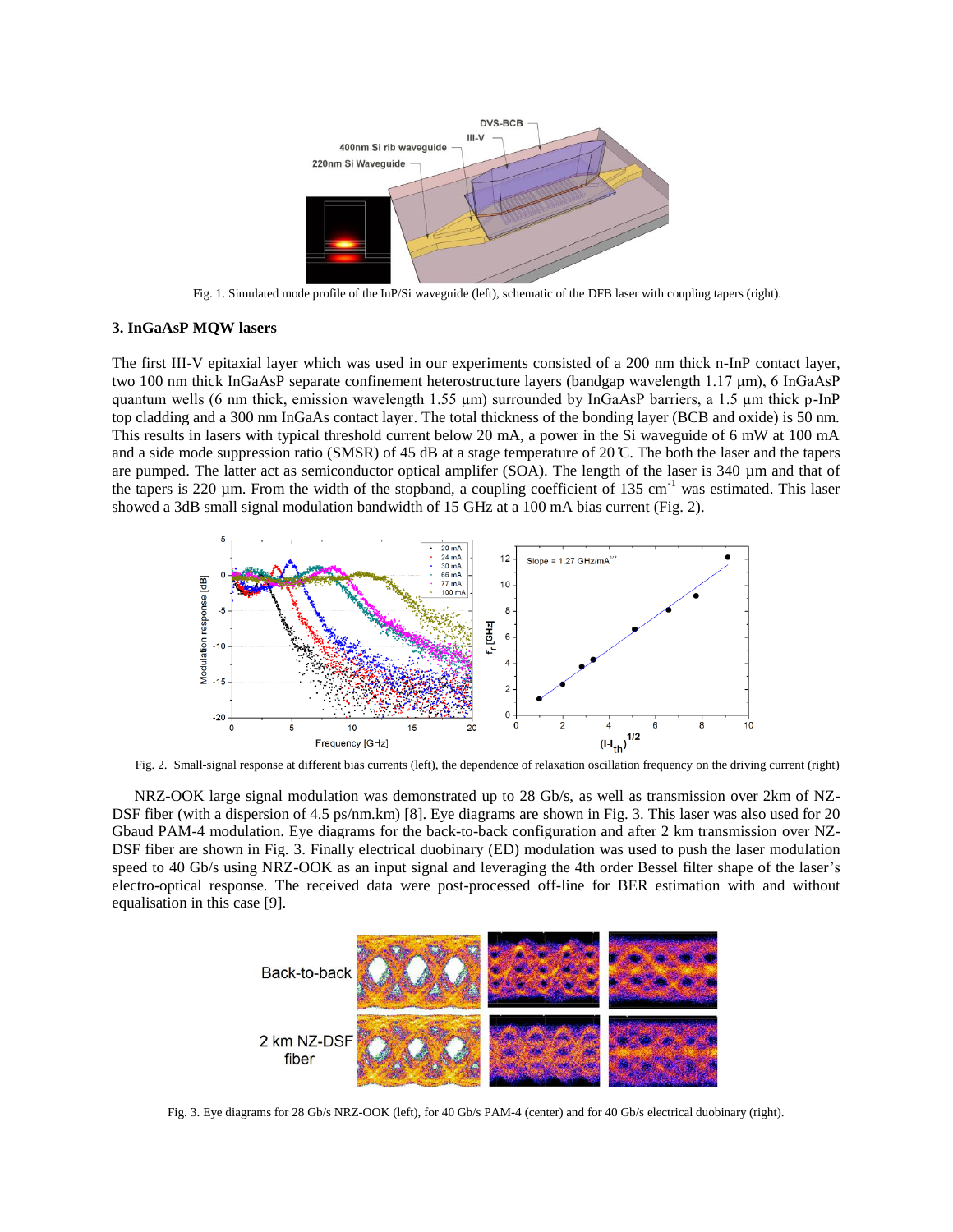

Fig. 1. Simulated mode profile of the InP/Si waveguide (left), schematic of the DFB laser with coupling tapers (right).

# **3. InGaAsP MQW lasers**

The first III-V epitaxial layer which was used in our experiments consisted of a 200 nm thick n-InP contact layer, two 100 nm thick InGaAsP separate confinement heterostructure layers (bandgap wavelength 1.17 μm), 6 InGaAsP quantum wells (6 nm thick, emission wavelength 1.55 μm) surrounded by InGaAsP barriers, a 1.5 μm thick p-InP top cladding and a 300 nm InGaAs contact layer. The total thickness of the bonding layer (BCB and oxide) is 50 nm. This results in lasers with typical threshold current below 20 mA, a power in the Si waveguide of 6 mW at 100 mA and a side mode suppression ratio (SMSR) of 45 dB at a stage temperature of 20  $\mathbb{C}$ . The both the laser and the tapers are pumped. The latter act as semiconductor optical amplifer (SOA). The length of the laser is 340 µm and that of the tapers is 220  $\mu$ m. From the width of the stopband, a coupling coefficient of 135 cm<sup>-1</sup> was estimated. This laser showed a 3dB small signal modulation bandwidth of 15 GHz at a 100 mA bias current (Fig. 2).



Fig. 2. Small-signal response at different bias currents (left), the dependence of relaxation oscillation frequency on the driving current (right)

NRZ-OOK large signal modulation was demonstrated up to 28 Gb/s, as well as transmission over 2km of NZ-DSF fiber (with a dispersion of 4.5 ps/nm.km) [8]. Eye diagrams are shown in Fig. 3. This laser was also used for 20 Gbaud PAM-4 modulation. Eye diagrams for the back-to-back configuration and after 2 km transmission over NZ-DSF fiber are shown in Fig. 3. Finally electrical duobinary (ED) modulation was used to push the laser modulation speed to 40 Gb/s using NRZ-OOK as an input signal and leveraging the 4th order Bessel filter shape of the laser's electro-optical response. The received data were post-processed off-line for BER estimation with and without equalisation in this case [9].



Fig. 3. Eye diagrams for 28 Gb/s NRZ-OOK (left), for 40 Gb/s PAM-4 (center) and for 40 Gb/s electrical duobinary (right).